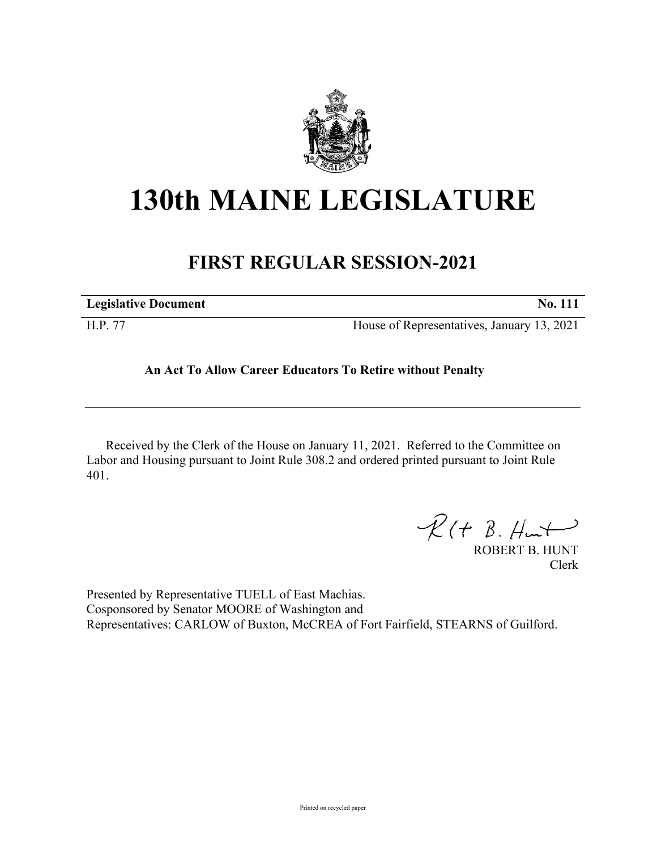

## **130th MAINE LEGISLATURE**

## **FIRST REGULAR SESSION-2021**

| <b>Legislative Document</b> | <b>No. 111</b>                             |
|-----------------------------|--------------------------------------------|
| H.P. 77                     | House of Representatives, January 13, 2021 |

## **An Act To Allow Career Educators To Retire without Penalty**

Received by the Clerk of the House on January 11, 2021. Referred to the Committee on Labor and Housing pursuant to Joint Rule 308.2 and ordered printed pursuant to Joint Rule 401.

 $R(H B. H<sub>un</sub>+)$ 

ROBERT B. HUNT Clerk

Presented by Representative TUELL of East Machias. Cosponsored by Senator MOORE of Washington and Representatives: CARLOW of Buxton, McCREA of Fort Fairfield, STEARNS of Guilford.